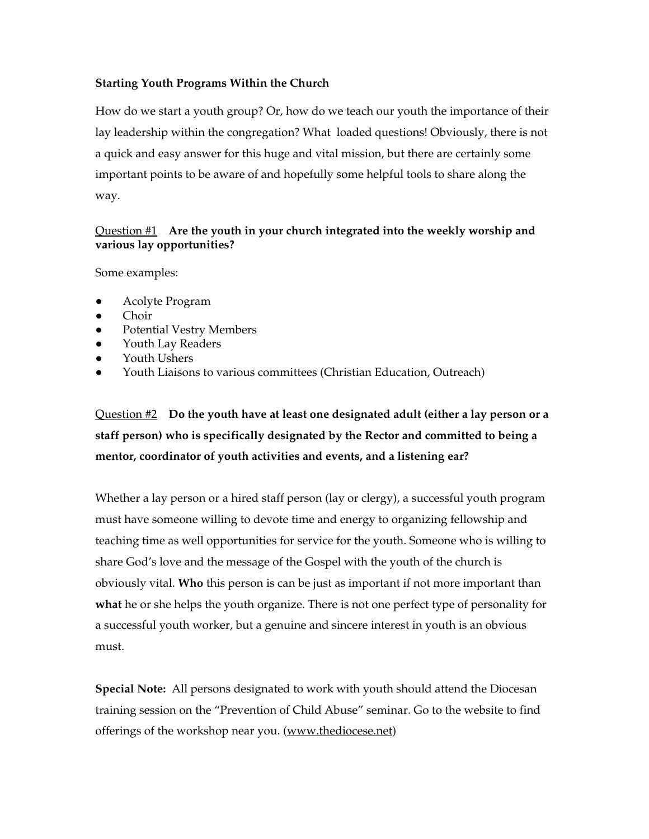### **Starting Youth Programs Within the Church**

How do we start a youth group? Or, how do we teach our youth the importance of their lay leadership within the congregation? What loaded questions! Obviously, there is not a quick and easy answer for this huge and vital mission, but there are certainly some important points to be aware of and hopefully some helpful tools to share along the way.

### Question #1 **Are the youth in your church integrated into the weekly worship and various lay opportunities?**

Some examples:

- Acolyte Program
- Choir
- Potential Vestry Members
- Youth Lay Readers
- Youth Ushers
- Youth Liaisons to various committees (Christian Education, Outreach)

Question #2 **Do the youth have at least one designated adult (either a lay person or a staff person) who is specifically designated by the Rector and committed to being a mentor, coordinator of youth activities and events, and a listening ear?**

Whether a lay person or a hired staff person (lay or clergy), a successful youth program must have someone willing to devote time and energy to organizing fellowship and teaching time as well opportunities for service for the youth. Someone who is willing to share God's love and the message of the Gospel with the youth of the church is obviously vital. **Who** this person is can be just as important if not more important than **what** he or she helps the youth organize. There is not one perfect type of personality for a successful youth worker, but a genuine and sincere interest in youth is an obvious must.

**Special Note:** All persons designated to work with youth should attend the Diocesan training session on the "Prevention of Child Abuse" seminar. Go to the website to find offerings of the workshop near you. (www.thediocese.net)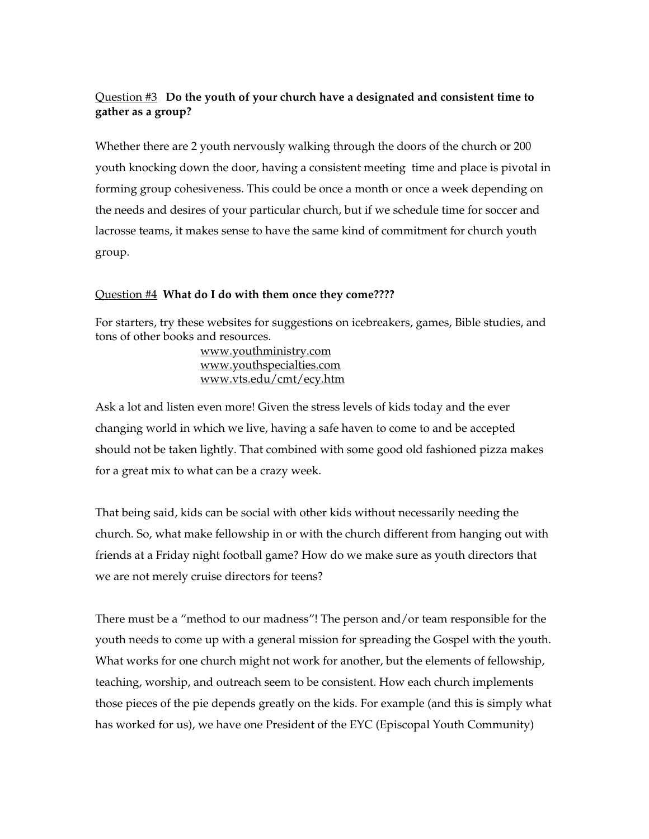# Question #3 **Do the youth of your church have a designated and consistent time to gather as a group?**

Whether there are 2 youth nervously walking through the doors of the church or 200 youth knocking down the door, having a consistent meeting time and place is pivotal in forming group cohesiveness. This could be once a month or once a week depending on the needs and desires of your particular church, but if we schedule time for soccer and lacrosse teams, it makes sense to have the same kind of commitment for church youth group.

#### Question #4 **What do I do with them once they come????**

For starters, try these websites for suggestions on icebreakers, games, Bible studies, and tons of other books and resources.

 www.youthministry.com www.youthspecialties.com www.vts.edu/cmt/ecy.htm

Ask a lot and listen even more! Given the stress levels of kids today and the ever changing world in which we live, having a safe haven to come to and be accepted should not be taken lightly. That combined with some good old fashioned pizza makes for a great mix to what can be a crazy week.

That being said, kids can be social with other kids without necessarily needing the church. So, what make fellowship in or with the church different from hanging out with friends at a Friday night football game? How do we make sure as youth directors that we are not merely cruise directors for teens?

There must be a "method to our madness"! The person and/or team responsible for the youth needs to come up with a general mission for spreading the Gospel with the youth. What works for one church might not work for another, but the elements of fellowship, teaching, worship, and outreach seem to be consistent. How each church implements those pieces of the pie depends greatly on the kids. For example (and this is simply what has worked for us), we have one President of the EYC (Episcopal Youth Community)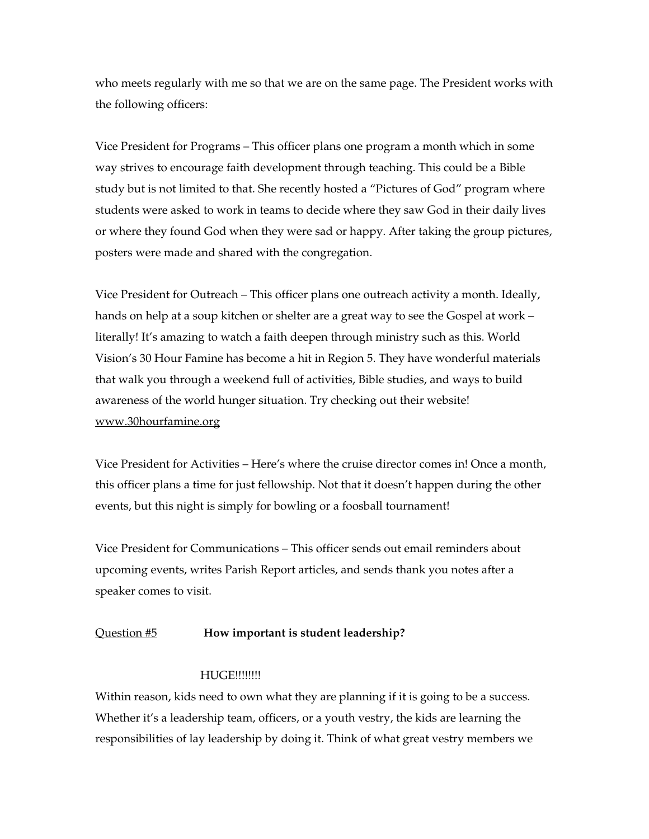who meets regularly with me so that we are on the same page. The President works with the following officers:

Vice President for Programs – This officer plans one program a month which in some way strives to encourage faith development through teaching. This could be a Bible study but is not limited to that. She recently hosted a "Pictures of God" program where students were asked to work in teams to decide where they saw God in their daily lives or where they found God when they were sad or happy. After taking the group pictures, posters were made and shared with the congregation.

Vice President for Outreach – This officer plans one outreach activity a month. Ideally, hands on help at a soup kitchen or shelter are a great way to see the Gospel at work – literally! It's amazing to watch a faith deepen through ministry such as this. World Vision's 30 Hour Famine has become a hit in Region 5. They have wonderful materials that walk you through a weekend full of activities, Bible studies, and ways to build awareness of the world hunger situation. Try checking out their website! www.30hourfamine.org

Vice President for Activities – Here's where the cruise director comes in! Once a month, this officer plans a time for just fellowship. Not that it doesn't happen during the other events, but this night is simply for bowling or a foosball tournament!

Vice President for Communications – This officer sends out email reminders about upcoming events, writes Parish Report articles, and sends thank you notes after a speaker comes to visit.

#### Question #5 **How important is student leadership?**

#### **HUGE!!!!!!!!**

Within reason, kids need to own what they are planning if it is going to be a success. Whether it's a leadership team, officers, or a youth vestry, the kids are learning the responsibilities of lay leadership by doing it. Think of what great vestry members we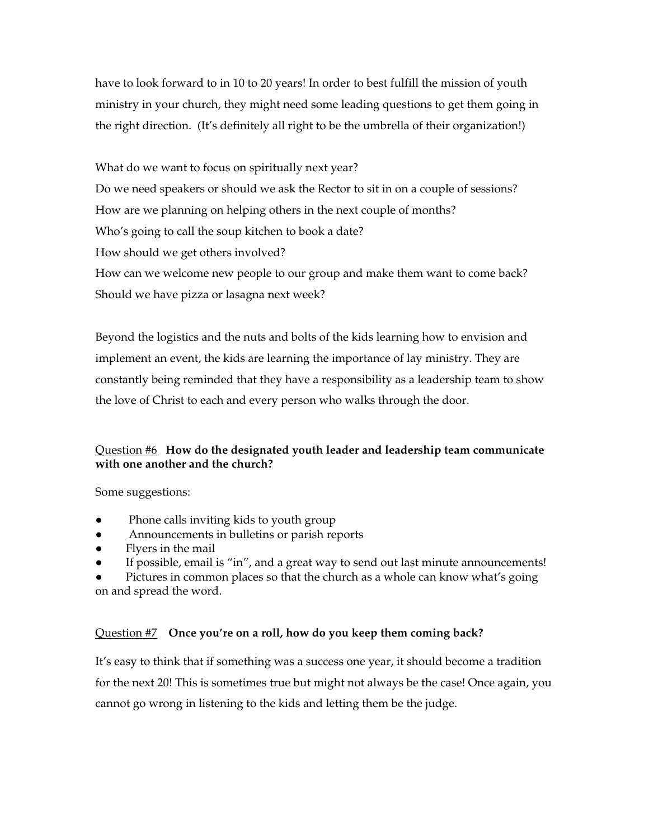have to look forward to in 10 to 20 years! In order to best fulfill the mission of youth ministry in your church, they might need some leading questions to get them going in the right direction. (It's definitely all right to be the umbrella of their organization!)

What do we want to focus on spiritually next year? Do we need speakers or should we ask the Rector to sit in on a couple of sessions? How are we planning on helping others in the next couple of months? Who's going to call the soup kitchen to book a date? How should we get others involved? How can we welcome new people to our group and make them want to come back? Should we have pizza or lasagna next week?

Beyond the logistics and the nuts and bolts of the kids learning how to envision and implement an event, the kids are learning the importance of lay ministry. They are constantly being reminded that they have a responsibility as a leadership team to show the love of Christ to each and every person who walks through the door.

## Question #6 **How do the designated youth leader and leadership team communicate with one another and the church?**

Some suggestions:

- Phone calls inviting kids to youth group
- Announcements in bulletins or parish reports
- Flyers in the mail
- If possible, email is "in", and a great way to send out last minute announcements!

Pictures in common places so that the church as a whole can know what's going on and spread the word.

#### Question #7 **Once you're on a roll, how do you keep them coming back?**

It's easy to think that if something was a success one year, it should become a tradition for the next 20! This is sometimes true but might not always be the case! Once again, you cannot go wrong in listening to the kids and letting them be the judge.